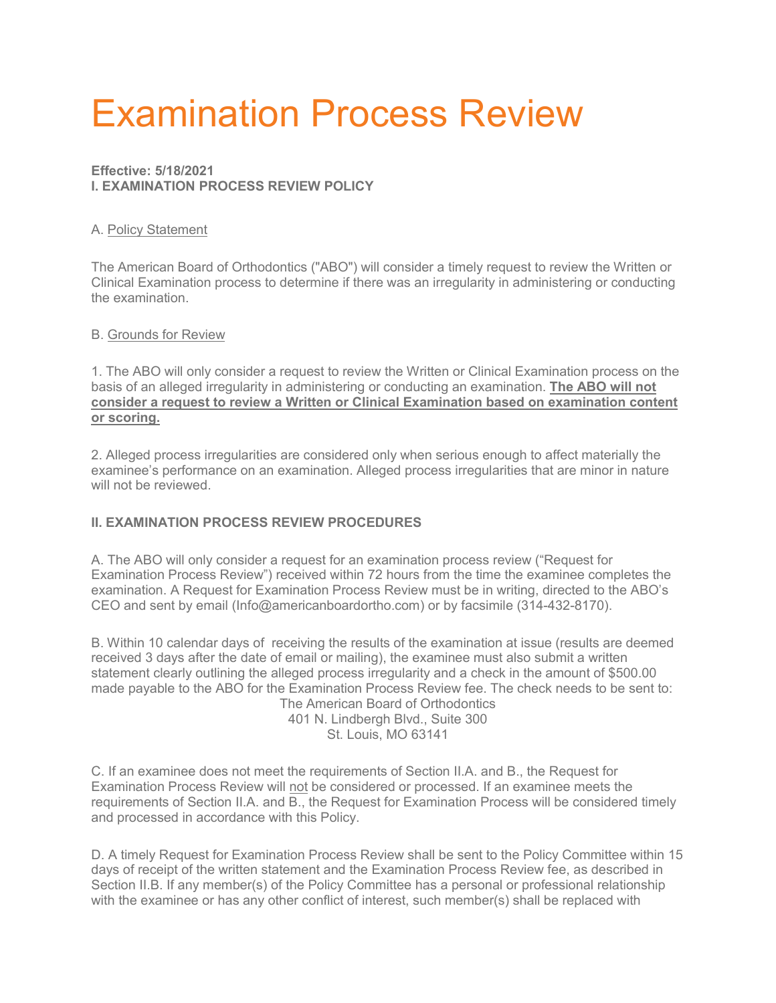# Examination Process Review

# **Effective: 5/18/2021 I. EXAMINATION PROCESS REVIEW POLICY**

### A. Policy Statement

The American Board of Orthodontics ("ABO") will consider a timely request to review the Written or Clinical Examination process to determine if there was an irregularity in administering or conducting the examination.

### B. Grounds for Review

1. The ABO will only consider a request to review the Written or Clinical Examination process on the basis of an alleged irregularity in administering or conducting an examination. **The ABO will not consider a request to review a Written or Clinical Examination based on examination content or scoring.**

2. Alleged process irregularities are considered only when serious enough to affect materially the examinee's performance on an examination. Alleged process irregularities that are minor in nature will not be reviewed.

# **II. EXAMINATION PROCESS REVIEW PROCEDURES**

A. The ABO will only consider a request for an examination process review ("Request for Examination Process Review") received within 72 hours from the time the examinee completes the examination. A Request for Examination Process Review must be in writing, directed to the ABO's CEO and sent by email (Info@americanboardortho.com) or by facsimile (314-432-8170).

B. Within 10 calendar days of receiving the results of the examination at issue (results are deemed received 3 days after the date of email or mailing), the examinee must also submit a written statement clearly outlining the alleged process irregularity and a check in the amount of \$500.00 made payable to the ABO for the Examination Process Review fee. The check needs to be sent to: The American Board of Orthodontics

401 N. Lindbergh Blvd., Suite 300 St. Louis, MO 63141

C. If an examinee does not meet the requirements of Section II.A. and B., the Request for Examination Process Review will not be considered or processed. If an examinee meets the requirements of Section II.A. and B., the Request for Examination Process will be considered timely and processed in accordance with this Policy.

D. A timely Request for Examination Process Review shall be sent to the Policy Committee within 15 days of receipt of the written statement and the Examination Process Review fee, as described in Section II.B. If any member(s) of the Policy Committee has a personal or professional relationship with the examinee or has any other conflict of interest, such member(s) shall be replaced with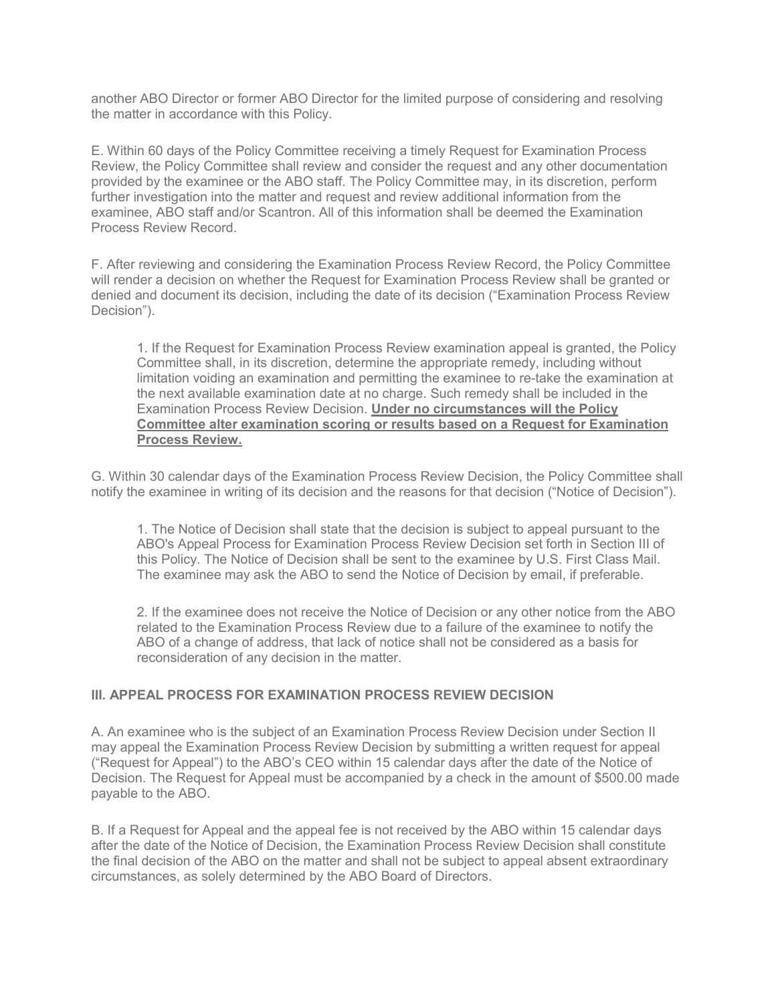another ABO Director or former ABO Director for the limited purpose of considering and resolving the matter in accordance with this Policy.

E. Within 60 days of the Policy Committee receiving a timely Request for Examination Process Review, the Policy Committee shall review and consider the request and any other documentation provided by the examinee or the ABO staff. The Policy Committee may, in its discretion, perform further investigation into the matter and request and review additional information from the examinee, ABO staff and/or Scantron. All of this information shall be deemed the Examination Process Review Record.

F. After reviewing and considering the Examination Process Review Record, the Policy Committee will render a decision on whether the Request for Examination Process Review shall be granted or denied and document its decision, including the date of its decision ("Examination Process Review Decision").

1. If the Request for Examination Process Review examination appeal is granted, the Policy Committee shall, in its discretion, determine the appropriate remedy, including without limitation voiding an examination and permitting the examinee to re-take the examination at the next available examination date at no charge. Such remedy shall be included in the Examination Process Review Decision. **Under no circumstances will the Policy Committee alter examination scoring or results based on a Request for Examination Process Review.**

G. Within 30 calendar days of the Examination Process Review Decision, the Policy Committee shall notify the examinee in writing of its decision and the reasons for that decision ("Notice of Decision").

1. The Notice of Decision shall state that the decision is subject to appeal pursuant to the ABO's Appeal Process for Examination Process Review Decision set forth in Section III of this Policy. The Notice of Decision shall be sent to the examinee by U.S. First Class Mail. The examinee may ask the ABO to send the Notice of Decision by email, if preferable.

2. If the examinee does not receive the Notice of Decision or any other notice from the ABO related to the Examination Process Review due to a failure of the examinee to notify the ABO of a change of address, that lack of notice shall not be considered as a basis for reconsideration of any decision in the matter.

### **III. APPEAL PROCESS FOR EXAMINATION PROCESS REVIEW DECISION**

A. An examinee who is the subject of an Examination Process Review Decision under Section II may appeal the Examination Process Review Decision by submitting a written request for appeal ("Request for Appeal") to the ABO's CEO within 15 calendar days after the date of the Notice of Decision. The Request for Appeal must be accompanied by a check in the amount of \$500.00 made payable to the ABO.

B. If a Request for Appeal and the appeal fee is not received by the ABO within 15 calendar days after the date of the Notice of Decision, the Examination Process Review Decision shall constitute the final decision of the ABO on the matter and shall not be subject to appeal absent extraordinary circumstances, as solely determined by the ABO Board of Directors.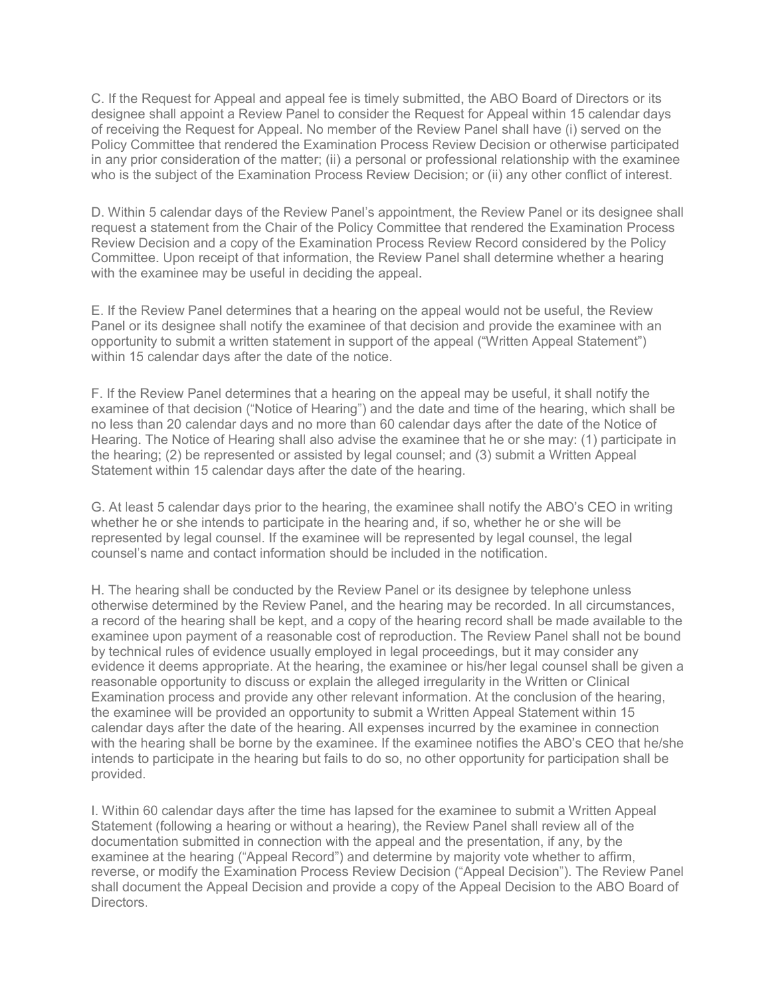C. If the Request for Appeal and appeal fee is timely submitted, the ABO Board of Directors or its designee shall appoint a Review Panel to consider the Request for Appeal within 15 calendar days of receiving the Request for Appeal. No member of the Review Panel shall have (i) served on the Policy Committee that rendered the Examination Process Review Decision or otherwise participated in any prior consideration of the matter; (ii) a personal or professional relationship with the examinee who is the subject of the Examination Process Review Decision; or (ii) any other conflict of interest.

D. Within 5 calendar days of the Review Panel's appointment, the Review Panel or its designee shall request a statement from the Chair of the Policy Committee that rendered the Examination Process Review Decision and a copy of the Examination Process Review Record considered by the Policy Committee. Upon receipt of that information, the Review Panel shall determine whether a hearing with the examinee may be useful in deciding the appeal.

E. If the Review Panel determines that a hearing on the appeal would not be useful, the Review Panel or its designee shall notify the examinee of that decision and provide the examinee with an opportunity to submit a written statement in support of the appeal ("Written Appeal Statement") within 15 calendar days after the date of the notice.

F. If the Review Panel determines that a hearing on the appeal may be useful, it shall notify the examinee of that decision ("Notice of Hearing") and the date and time of the hearing, which shall be no less than 20 calendar days and no more than 60 calendar days after the date of the Notice of Hearing. The Notice of Hearing shall also advise the examinee that he or she may: (1) participate in the hearing; (2) be represented or assisted by legal counsel; and (3) submit a Written Appeal Statement within 15 calendar days after the date of the hearing.

G. At least 5 calendar days prior to the hearing, the examinee shall notify the ABO's CEO in writing whether he or she intends to participate in the hearing and, if so, whether he or she will be represented by legal counsel. If the examinee will be represented by legal counsel, the legal counsel's name and contact information should be included in the notification.

H. The hearing shall be conducted by the Review Panel or its designee by telephone unless otherwise determined by the Review Panel, and the hearing may be recorded. In all circumstances, a record of the hearing shall be kept, and a copy of the hearing record shall be made available to the examinee upon payment of a reasonable cost of reproduction. The Review Panel shall not be bound by technical rules of evidence usually employed in legal proceedings, but it may consider any evidence it deems appropriate. At the hearing, the examinee or his/her legal counsel shall be given a reasonable opportunity to discuss or explain the alleged irregularity in the Written or Clinical Examination process and provide any other relevant information. At the conclusion of the hearing, the examinee will be provided an opportunity to submit a Written Appeal Statement within 15 calendar days after the date of the hearing. All expenses incurred by the examinee in connection with the hearing shall be borne by the examinee. If the examinee notifies the ABO's CEO that he/she intends to participate in the hearing but fails to do so, no other opportunity for participation shall be provided.

I. Within 60 calendar days after the time has lapsed for the examinee to submit a Written Appeal Statement (following a hearing or without a hearing), the Review Panel shall review all of the documentation submitted in connection with the appeal and the presentation, if any, by the examinee at the hearing ("Appeal Record") and determine by majority vote whether to affirm, reverse, or modify the Examination Process Review Decision ("Appeal Decision"). The Review Panel shall document the Appeal Decision and provide a copy of the Appeal Decision to the ABO Board of Directors.